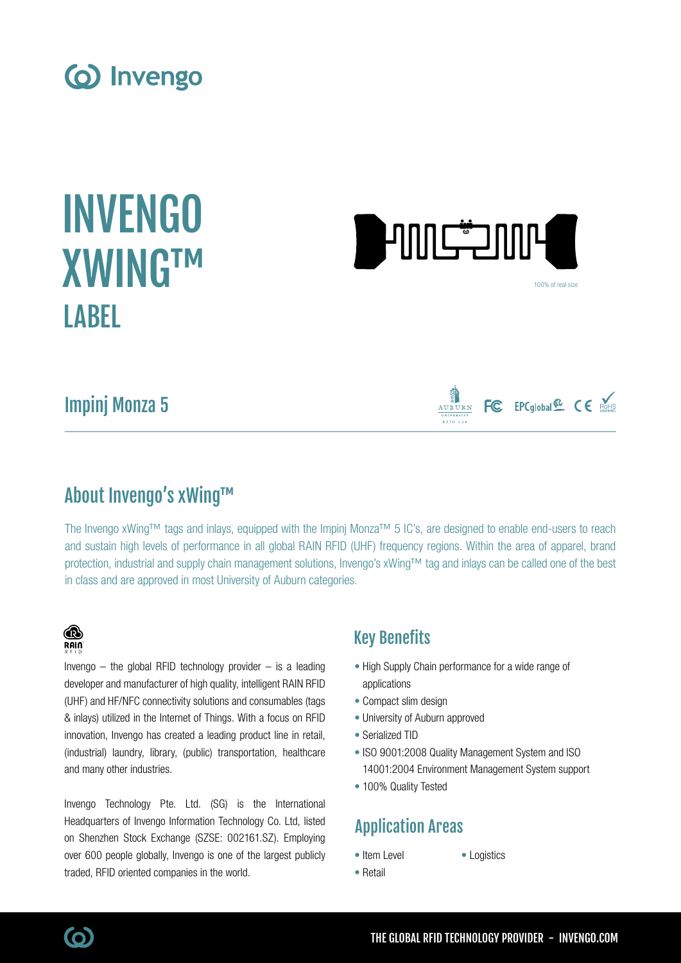





100% of real size

FC EPCglobal<sup>52</sup> CE ROHS

Impinj Monza 5

### About Invengo's xWing™

The Invengo xWing™ tags and inlays, equipped with the Impinj Monza™ 5 IC's, are designed to enable end-users to reach and sustain high levels of performance in all global RAIN RFID (UHF) frequency regions. Within the area of apparel, brand protection, industrial and supply chain management solutions, Invengo's xWing™ tag and inlays can be called one of the best in class and are approved in most University of Auburn categories.

### ® **RAIN**

Invengo  $-$  the global RFID technology provider  $-$  is a leading developer and manufacturer of high quality, intelligent RAIN RFID (UHF) and HF/NFC connectivity solutions and consumables (tags & inlays) utilized in the Internet of Things. With a focus on RFID innovation, Invengo has created a leading product line in retail, (industrial) laundry, library, (public) transportation, healthcare and many other industries.

Invengo Technology Pte. Ltd. (SG) is the International Headquarters of Invengo Information Technology Co. Ltd, listed on Shenzhen Stock Exchange (SZSE: 002161.SZ). Employing over 600 people globally, Invengo is one of the largest publicly traded, RFID oriented companies in the world.

### Key Benefits

- High Supply Chain performance for a wide range of applications
- Compact slim design
- University of Auburn approved
- Serialized TID
- ISO 9001:2008 Quality Management System and ISO 14001:2004 Environment Management System support
- 100% Quality Tested

# Application Areas

- Item Level
- Logistics
- Retail
	- THE GLOBAL RFID TECHNOLOGY PROVIDER INVENGO.COM